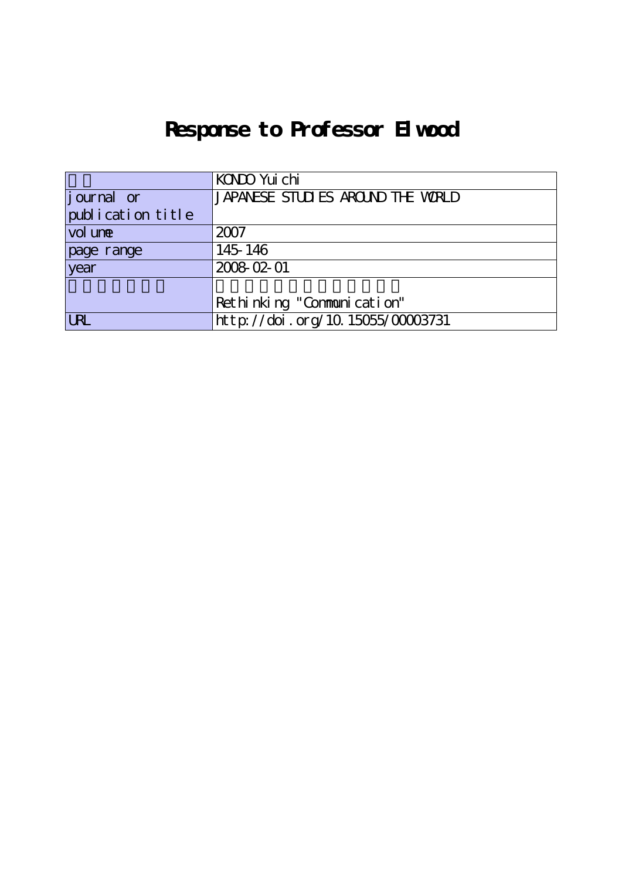## **Response to Professor Elwood**

|                   | KONDO Yui chi                     |
|-------------------|-----------------------------------|
| journal or        | JAPANESE STUDIES AROUND THE WORLD |
| publication title |                                   |
| vol une           | 2007                              |
| page range        | 145-146                           |
| vear              | 2008-02-01                        |
|                   |                                   |
|                   | Ret hi nki ng "Communi cat i on"  |
| <b>URL</b>        | http://doi.org/10.15055/00003731  |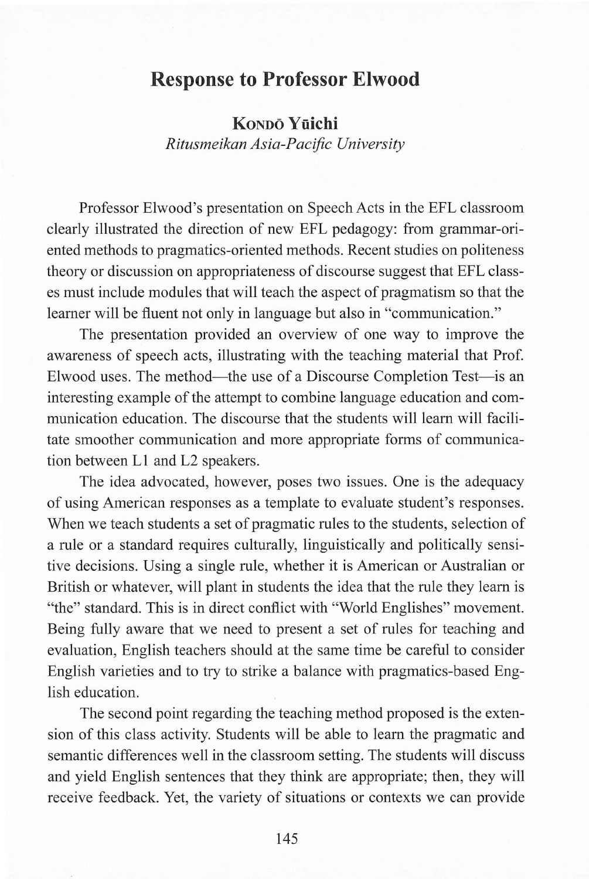## Response to Professor Elwood

Kondō Vūichi

Ritusmeikan Asia-Pacific University

 Professor Elwood's presentation on Speech Acts in the EFL classroom clearly illustrated the direction of new EFL pedagogy: from grammar-oriented methods to pragmatics-oriented methods. Recent studies on politeness theory or discussion on appropriateness of discourse suggest that EFL classes must include modules that will teach the aspect of pragmatism so that the learner will be fluent not only in language but also in "communication."

The presentation provided an overview of one way to improve the awareness of speech acts, illustrating with the teaching material that Prof. Elwood uses. The method—the use of a Discourse Completion Test—is an interesting example of the attempt to combine language education and communication education. The discourse that the students will learn will facilitate smoother communication and more appropriate forms of communication between LI and L2 speakers.

The idea advocated, however, poses two issues. One is the adequacy of using American responses as a template to evaluate student's responses. When we teach students a set of pragmatic rules to the students, selection of a rule or a standard requires culturally, linguistically and politically sensitive decisions. Using a single rule, whether it is American or Australian or British or whatever, will plant in students the idea that the rule they learn is "the" standard. This is in direct conflict with "World Englishes" movement. Being fully aware that we need to present a set of rules for teaching and evaluation, English teachers should at the same time be careful to consider English varieties and to try to strike a balance with pragmatics-based English education.

 The second point regarding the teaching method proposed is the extension of this class activity. Students will be able to learn the pragmatic and semantic differences well in the classroom setting. The students will discuss and yield English sentences that they think are appropriate; then, they will receive feedback. Yet, the variety of situations or contexts we can provide